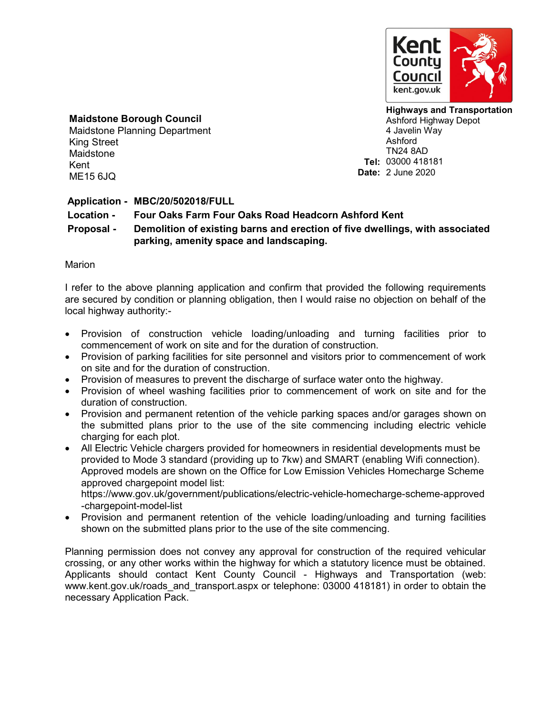

## **Maidstone Borough Council**

Maidstone Planning Department King Street Maidstone Kent ME15 6JQ

**Highways and Transportation** Ashford Highway Depot 4 Javelin Way Ashford TN24 8AD **Tel:** 03000 418181 **Date:** 2 June 2020

## **Application - MBC/20/502018/FULL**

## **Location - Four Oaks Farm Four Oaks Road Headcorn Ashford Kent**

**Proposal - Demolition of existing barns and erection of five dwellings, with associated parking, amenity space and landscaping.**

## Marion

I refer to the above planning application and confirm that provided the following requirements are secured by condition or planning obligation, then I would raise no objection on behalf of the local highway authority:-

- Provision of construction vehicle loading/unloading and turning facilities prior to commencement of work on site and for the duration of construction.
- Provision of parking facilities for site personnel and visitors prior to commencement of work on site and for the duration of construction.
- Provision of measures to prevent the discharge of surface water onto the highway.
- Provision of wheel washing facilities prior to commencement of work on site and for the duration of construction.
- Provision and permanent retention of the vehicle parking spaces and/or garages shown on the submitted plans prior to the use of the site commencing including electric vehicle charging for each plot.
- All Electric Vehicle chargers provided for homeowners in residential developments must be provided to Mode 3 standard (providing up to 7kw) and SMART (enabling Wifi connection). Approved models are shown on the Office for Low Emission Vehicles Homecharge Scheme approved chargepoint model list: https://www.gov.uk/government/publications/electric-vehicle-homecharge-scheme-approved

-chargepoint-model-list

 Provision and permanent retention of the vehicle loading/unloading and turning facilities shown on the submitted plans prior to the use of the site commencing.

Planning permission does not convey any approval for construction of the required vehicular crossing, or any other works within the highway for which a statutory licence must be obtained. Applicants should contact Kent County Council - Highways and Transportation (web: www.kent.gov.uk/roads\_and\_transport.aspx or telephone: 03000 418181) in order to obtain the necessary Application Pack.